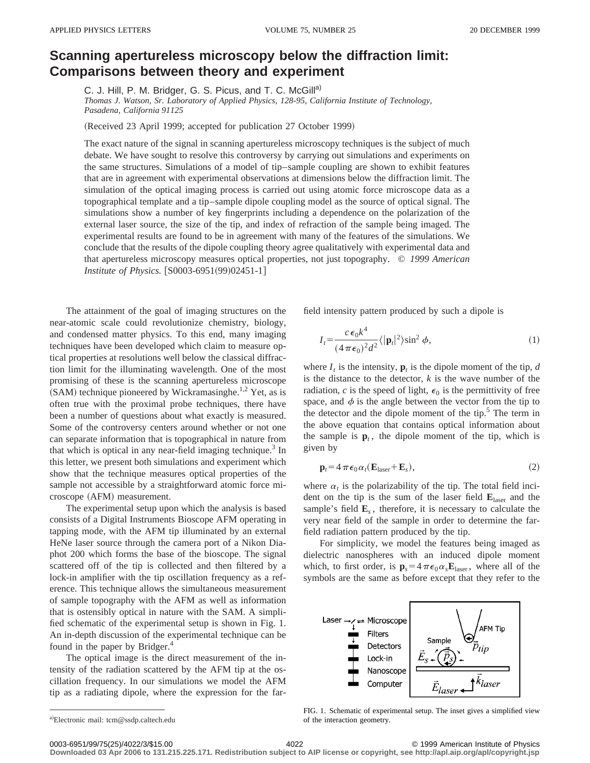## **Scanning apertureless microscopy below the diffraction limit: Comparisons between theory and experiment**

C. J. Hill, P. M. Bridger, G. S. Picus, and T. C. McGill<sup>a)</sup>

*Thomas J. Watson, Sr. Laboratory of Applied Physics, 128-95, California Institute of Technology, Pasadena, California 91125*

(Received 23 April 1999; accepted for publication 27 October 1999)

The exact nature of the signal in scanning apertureless microscopy techniques is the subject of much debate. We have sought to resolve this controversy by carrying out simulations and experiments on the same structures. Simulations of a model of tip–sample coupling are shown to exhibit features that are in agreement with experimental observations at dimensions below the diffraction limit. The simulation of the optical imaging process is carried out using atomic force microscope data as a topographical template and a tip–sample dipole coupling model as the source of optical signal. The simulations show a number of key fingerprints including a dependence on the polarization of the external laser source, the size of the tip, and index of refraction of the sample being imaged. The experimental results are found to be in agreement with many of the features of the simulations. We conclude that the results of the dipole coupling theory agree qualitatively with experimental data and that apertureless microscopy measures optical properties, not just topography. © *1999 American Institute of Physics.* [S0003-6951(99)02451-1]

The attainment of the goal of imaging structures on the near-atomic scale could revolutionize chemistry, biology, and condensed matter physics. To this end, many imaging techniques have been developed which claim to measure optical properties at resolutions well below the classical diffraction limit for the illuminating wavelength. One of the most promising of these is the scanning apertureless microscope (SAM) technique pioneered by Wickramasinghe.<sup>1,2</sup> Yet, as is often true with the proximal probe techniques, there have been a number of questions about what exactly is measured. Some of the controversy centers around whether or not one can separate information that is topographical in nature from that which is optical in any near-field imaging technique.<sup>3</sup> In this letter, we present both simulations and experiment which show that the technique measures optical properties of the sample not accessible by a straightforward atomic force microscope (AFM) measurement.

The experimental setup upon which the analysis is based consists of a Digital Instruments Bioscope AFM operating in tapping mode, with the AFM tip illuminated by an external HeNe laser source through the camera port of a Nikon Diaphot 200 which forms the base of the bioscope. The signal scattered off of the tip is collected and then filtered by a lock-in amplifier with the tip oscillation frequency as a reference. This technique allows the simultaneous measurement of sample topography with the AFM as well as information that is ostensibly optical in nature with the SAM. A simplified schematic of the experimental setup is shown in Fig. 1. An in-depth discussion of the experimental technique can be found in the paper by Bridger.<sup>4</sup>

The optical image is the direct measurement of the intensity of the radiation scattered by the AFM tip at the oscillation frequency. In our simulations we model the AFM tip as a radiating dipole, where the expression for the farfield intensity pattern produced by such a dipole is

$$
I_t = \frac{c \epsilon_0 k^4}{(4 \pi \epsilon_0)^2 d^2} \langle |\mathbf{p}_t|^2 \rangle \sin^2 \phi,
$$
 (1)

where  $I_t$  is the intensity,  $\mathbf{p}_t$  is the dipole moment of the tip, *d* is the distance to the detector, *k* is the wave number of the radiation,  $c$  is the speed of light,  $\epsilon_0$  is the permittivity of free space, and  $\phi$  is the angle between the vector from the tip to the detector and the dipole moment of the tip. $5$  The term in the above equation that contains optical information about the sample is  $\mathbf{p}_t$ , the dipole moment of the tip, which is given by

$$
\mathbf{p}_t = 4 \pi \epsilon_0 \alpha_t (\mathbf{E}_{\text{laser}} + \mathbf{E}_s), \tag{2}
$$

where  $\alpha_t$  is the polarizability of the tip. The total field incident on the tip is the sum of the laser field **E**laser and the sample's field  $\mathbf{E}_s$ , therefore, it is necessary to calculate the very near field of the sample in order to determine the farfield radiation pattern produced by the tip.

For simplicity, we model the features being imaged as dielectric nanospheres with an induced dipole moment which, to first order, is  $\mathbf{p}_s = 4 \pi \epsilon_0 \alpha_s \mathbf{E}_{\text{laser}}$ , where all of the symbols are the same as before except that they refer to the



FIG. 1. Schematic of experimental setup. The inset gives a simplified view of the interaction geometry.

**Downloaded 03 Apr 2006 to 131.215.225.171. Redistribution subject to AIP license or copyright, see http://apl.aip.org/apl/copyright.jsp**

a)Electronic mail: tcm@ssdp.caltech.edu

<sup>0003-6951/99/75(25)/4022/3/\$15.00 © 1999</sup> American Institute of Physics 4022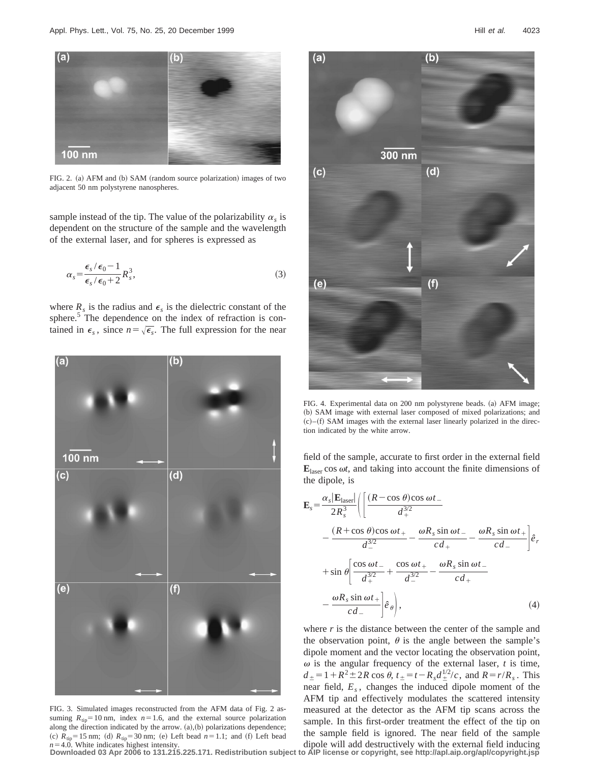

FIG. 2. (a) AFM and (b) SAM (random source polarization) images of two adjacent 50 nm polystyrene nanospheres.

sample instead of the tip. The value of the polarizability  $\alpha_s$  is dependent on the structure of the sample and the wavelength of the external laser, and for spheres is expressed as

$$
\alpha_s = \frac{\epsilon_s/\epsilon_0 - 1}{\epsilon_s/\epsilon_0 + 2} R_s^3,\tag{3}
$$

where  $R_s$  is the radius and  $\epsilon_s$  is the dielectric constant of the sphere.<sup>5</sup> The dependence on the index of refraction is contained in  $\epsilon_s$ , since  $n = \sqrt{\epsilon_s}$ . The full expression for the near



FIG. 3. Simulated images reconstructed from the AFM data of Fig. 2 assuming  $R_{\text{tip}}=10 \text{ nm}$ , index  $n=1.6$ , and the external source polarization along the direction indicated by the arrow.  $(a)$ , $(b)$  polarizations dependence; (c)  $R_{\text{tip}}=15 \text{ nm}$ ; (d)  $R_{\text{tip}}=30 \text{ nm}$ ; (e) Left bead  $n=1.1$ ; and (f) Left bead  $n=4.0$ . White indicates highest intensity.



FIG. 4. Experimental data on 200 nm polystyrene beads. (a) AFM image; (b) SAM image with external laser composed of mixed polarizations; and  $(c)$ – $(f)$  SAM images with the external laser linearly polarized in the direction indicated by the white arrow.

field of the sample, accurate to first order in the external field **E**laser cos <sup>v</sup>*t*, and taking into account the finite dimensions of the dipole, is

$$
\mathbf{E}_{s} = \frac{\alpha_{s} |\mathbf{E}_{\text{laser}}|}{2R_{s}^{3}} \Biggl( \Biggl[ \frac{(R - \cos \theta) \cos \omega t_{-}}{d_{+}^{3/2}} - \frac{(R + \cos \theta) \cos \omega t_{+}}{d_{-}^{3/2}} - \frac{\omega R_{s} \sin \omega t_{-}}{c d_{+}} - \frac{\omega R_{s} \sin \omega t_{+}}{c d_{-}} \Biggr] \hat{e}_{r} + \sin \theta \Biggl[ \frac{\cos \omega t_{-}}{d_{+}^{3/2}} + \frac{\cos \omega t_{+}}{d_{-}^{3/2}} - \frac{\omega R_{s} \sin \omega t_{-}}{c d_{+}} - \frac{\omega R_{s} \sin \omega t_{+}}{c d_{-}} \Biggr] \hat{e}_{\theta} \Biggr), \tag{4}
$$

where *r* is the distance between the center of the sample and the observation point,  $\theta$  is the angle between the sample's dipole moment and the vector locating the observation point,  $\omega$  is the angular frequency of the external laser,  $t$  is time,  $d_{\pm} = 1 + R^2 \pm 2R \cos \theta$ ,  $t_{\pm} = t - R_s d_{\pm}^{1/2}/c$ , and  $R = r/R_s$ . This near field, *Es* , changes the induced dipole moment of the AFM tip and effectively modulates the scattered intensity measured at the detector as the AFM tip scans across the sample. In this first-order treatment the effect of the tip on the sample field is ignored. The near field of the sample dipole will add destructively with the external field inducing

**Downloaded 03 Apr 2006 to 131.215.225.171. Redistribution subject to AIP license or copyright, see http://apl.aip.org/apl/copyright.jsp**